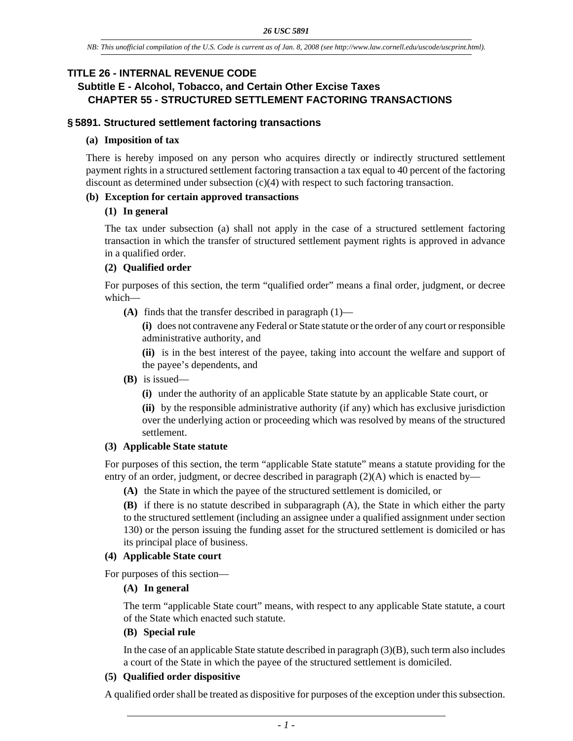## **TITLE 26 - INTERNAL REVENUE CODE**

# **Subtitle E - Alcohol, Tobacco, and Certain Other Excise Taxes CHAPTER 55 - STRUCTURED SETTLEMENT FACTORING TRANSACTIONS**

### **§ 5891. Structured settlement factoring transactions**

### **(a) Imposition of tax**

There is hereby imposed on any person who acquires directly or indirectly structured settlement payment rights in a structured settlement factoring transaction a tax equal to 40 percent of the factoring discount as determined under subsection (c)(4) with respect to such factoring transaction.

### **(b) Exception for certain approved transactions**

### **(1) In general**

The tax under subsection (a) shall not apply in the case of a structured settlement factoring transaction in which the transfer of structured settlement payment rights is approved in advance in a qualified order.

## **(2) Qualified order**

For purposes of this section, the term "qualified order" means a final order, judgment, or decree which—

**(A)** finds that the transfer described in paragraph (1)—

**(i)** does not contravene any Federal or State statute or the order of any court or responsible administrative authority, and

**(ii)** is in the best interest of the payee, taking into account the welfare and support of the payee's dependents, and

- **(B)** is issued—
	- **(i)** under the authority of an applicable State statute by an applicable State court, or

**(ii)** by the responsible administrative authority (if any) which has exclusive jurisdiction over the underlying action or proceeding which was resolved by means of the structured settlement.

### **(3) Applicable State statute**

For purposes of this section, the term "applicable State statute" means a statute providing for the entry of an order, judgment, or decree described in paragraph (2)(A) which is enacted by—

**(A)** the State in which the payee of the structured settlement is domiciled, or

**(B)** if there is no statute described in subparagraph (A), the State in which either the party to the structured settlement (including an assignee under a qualified assignment under section 130) or the person issuing the funding asset for the structured settlement is domiciled or has its principal place of business.

### **(4) Applicable State court**

For purposes of this section—

### **(A) In general**

The term "applicable State court" means, with respect to any applicable State statute, a court of the State which enacted such statute.

### **(B) Special rule**

In the case of an applicable State statute described in paragraph  $(3)(B)$ , such term also includes a court of the State in which the payee of the structured settlement is domiciled.

### **(5) Qualified order dispositive**

A qualified order shall be treated as dispositive for purposes of the exception under this subsection.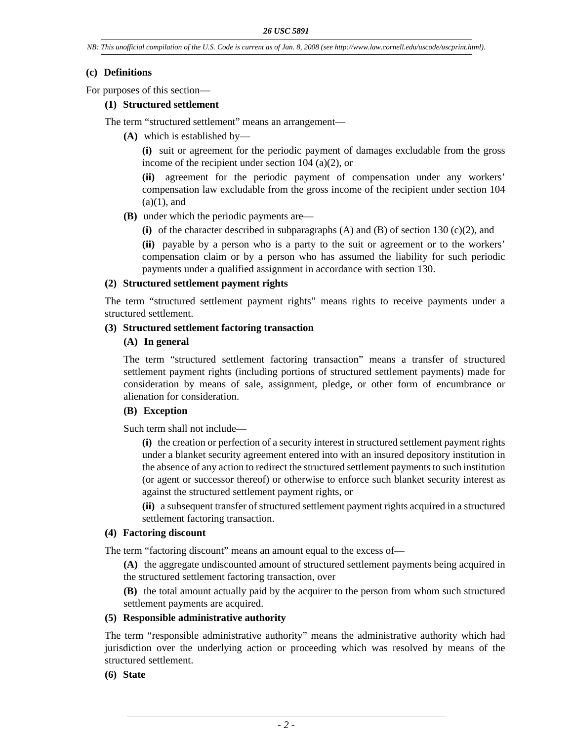### **(c) Definitions**

For purposes of this section—

### **(1) Structured settlement**

The term "structured settlement" means an arrangement—

**(A)** which is established by—

**(i)** suit or agreement for the periodic payment of damages excludable from the gross income of the recipient under section 104 (a)(2), or

**(ii)** agreement for the periodic payment of compensation under any workers' compensation law excludable from the gross income of the recipient under section 104  $(a)(1)$ , and

- **(B)** under which the periodic payments are—
	- **(i)** of the character described in subparagraphs (A) and (B) of section 130 (c)(2), and

**(ii)** payable by a person who is a party to the suit or agreement or to the workers' compensation claim or by a person who has assumed the liability for such periodic payments under a qualified assignment in accordance with section 130.

#### **(2) Structured settlement payment rights**

The term "structured settlement payment rights" means rights to receive payments under a structured settlement.

### **(3) Structured settlement factoring transaction**

### **(A) In general**

The term "structured settlement factoring transaction" means a transfer of structured settlement payment rights (including portions of structured settlement payments) made for consideration by means of sale, assignment, pledge, or other form of encumbrance or alienation for consideration.

### **(B) Exception**

Such term shall not include—

**(i)** the creation or perfection of a security interest in structured settlement payment rights under a blanket security agreement entered into with an insured depository institution in the absence of any action to redirect the structured settlement payments to such institution (or agent or successor thereof) or otherwise to enforce such blanket security interest as against the structured settlement payment rights, or

**(ii)** a subsequent transfer of structured settlement payment rights acquired in a structured settlement factoring transaction.

#### **(4) Factoring discount**

The term "factoring discount" means an amount equal to the excess of—

**(A)** the aggregate undiscounted amount of structured settlement payments being acquired in the structured settlement factoring transaction, over

**(B)** the total amount actually paid by the acquirer to the person from whom such structured settlement payments are acquired.

#### **(5) Responsible administrative authority**

The term "responsible administrative authority" means the administrative authority which had jurisdiction over the underlying action or proceeding which was resolved by means of the structured settlement.

### **(6) State**